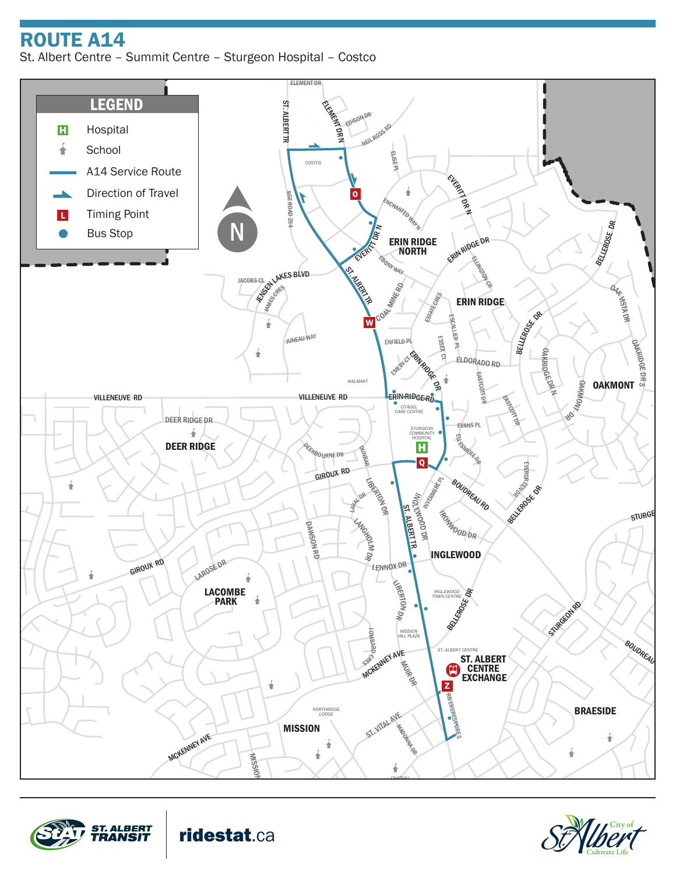ROUTE A14

St. Albert Centre – Summit Centre – Sturgeon Hospital – Costco







ridestat.ca